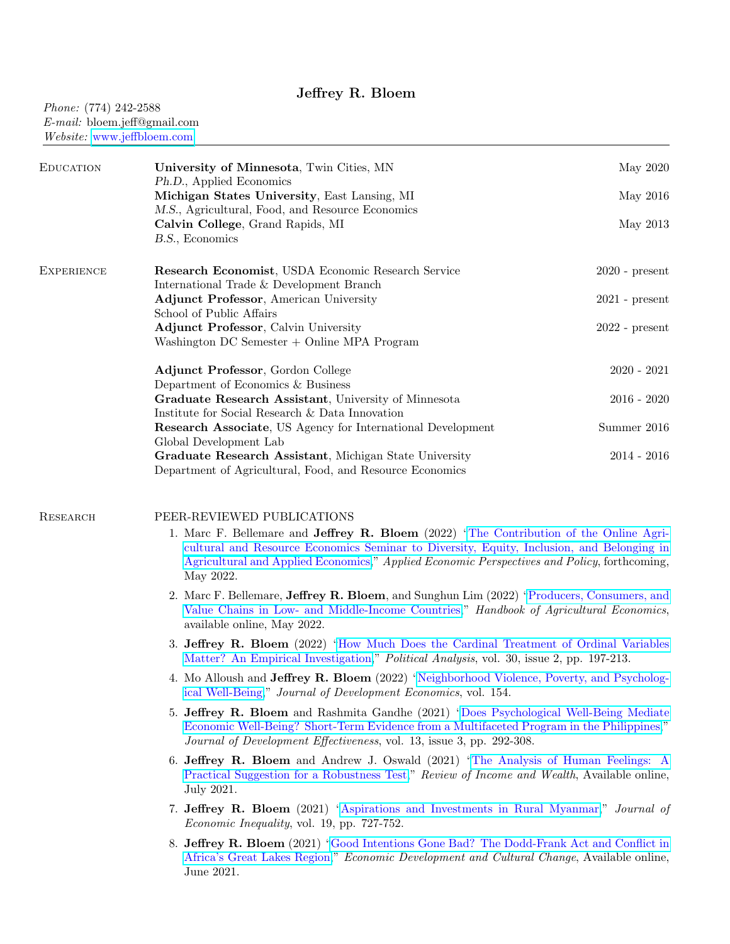## Jeffrey R. Bloem

# Phone: (774) 242-2588 E-mail: bloem.jeff@gmail.com Website: [www.jeffbloem.com](http://www.jeffbloem.com)

| <b>EDUCATION</b>  | University of Minnesota, Twin Cities, MN                                                                                                                                                                                                                                                               | May 2020         |
|-------------------|--------------------------------------------------------------------------------------------------------------------------------------------------------------------------------------------------------------------------------------------------------------------------------------------------------|------------------|
|                   | Ph.D., Applied Economics<br>Michigan States University, East Lansing, MI                                                                                                                                                                                                                               | May 2016         |
|                   | M.S., Agricultural, Food, and Resource Economics<br>Calvin College, Grand Rapids, MI<br>B.S., Economics                                                                                                                                                                                                | May 2013         |
| <b>EXPERIENCE</b> | Research Economist, USDA Economic Research Service<br>International Trade & Development Branch                                                                                                                                                                                                         | $2020$ - present |
|                   | <b>Adjunct Professor, American University</b>                                                                                                                                                                                                                                                          | $2021$ - present |
|                   | School of Public Affairs                                                                                                                                                                                                                                                                               |                  |
|                   | <b>Adjunct Professor, Calvin University</b>                                                                                                                                                                                                                                                            | $2022$ - present |
|                   | Washington DC Semester $+$ Online MPA Program                                                                                                                                                                                                                                                          |                  |
|                   | Adjunct Professor, Gordon College                                                                                                                                                                                                                                                                      | $2020 - 2021$    |
|                   | Department of Economics & Business                                                                                                                                                                                                                                                                     |                  |
|                   | Graduate Research Assistant, University of Minnesota                                                                                                                                                                                                                                                   | $2016 - 2020$    |
|                   | Institute for Social Research & Data Innovation                                                                                                                                                                                                                                                        |                  |
|                   | <b>Research Associate</b> , US Agency for International Development                                                                                                                                                                                                                                    | Summer 2016      |
|                   | Global Development Lab<br>Graduate Research Assistant, Michigan State University                                                                                                                                                                                                                       | $2014 - 2016$    |
|                   | Department of Agricultural, Food, and Resource Economics                                                                                                                                                                                                                                               |                  |
| <b>RESEARCH</b>   | PEER-REVIEWED PUBLICATIONS                                                                                                                                                                                                                                                                             |                  |
|                   | 1. Marc F. Bellemare and <b>Jeffrey R. Bloem</b> (2022) "The Contribution of the Online Agri-<br>cultural and Resource Economics Seminar to Diversity, Equity, Inclusion, and Belonging in<br>Agricultural and Applied Economics," Applied Economic Perspectives and Policy, forthcoming,<br>May 2022. |                  |

- 2. Marc F. Bellemare, Jeffrey R. Bloem, and Sunghun Lim (2022) ["Producers, Consumers, and](https://www.sciencedirect.com/science/article/pii/S1574007222000056?dgcid=author) [Value Chains in Low- and Middle-Income Countries,](https://www.sciencedirect.com/science/article/pii/S1574007222000056?dgcid=author)" Handbook of Agricultural Economics, available online, May 2022.
- 3. Jeffrey R. Bloem (2022) ["How Much Does the Cardinal Treatment of Ordinal Variables](https://www.cambridge.org/core/journals/political-analysis/article/abs/how-much-does-the-cardinal-treatment-of-ordinal-variables-matter-an-empirical-investigation/E0EF3B32B39B3E5BB7BE4D7E8055D828) [Matter? An Empirical Investigation,](https://www.cambridge.org/core/journals/political-analysis/article/abs/how-much-does-the-cardinal-treatment-of-ordinal-variables-matter-an-empirical-investigation/E0EF3B32B39B3E5BB7BE4D7E8055D828)" Political Analysis, vol. 30, issue 2, pp. 197-213.
- 4. Mo Alloush and Jeffrey R. Bloem (2022) ["Neighborhood Violence, Poverty, and Psycholog](https://www.sciencedirect.com/science/article/abs/pii/S0304387821001218?v=s5)[ical Well-Being,](https://www.sciencedirect.com/science/article/abs/pii/S0304387821001218?v=s5)" Journal of Development Economics, vol. 154.
- 5. Jeffrey R. Bloem and Rashmita Gandhe (2021) ["Does Psychological Well-Being Mediate](https://www.tandfonline.com/doi/full/10.1080/19439342.2021.1924834?scroll=top&needAccess=true) [Economic Well-Being? Short-Term Evidence from a Multifaceted Program in the Philippines,](https://www.tandfonline.com/doi/full/10.1080/19439342.2021.1924834?scroll=top&needAccess=true)" Journal of Development Effectiveness, vol. 13, issue 3, pp. 292-308.
- 6. Jeffrey R. Bloem and Andrew J. Oswald (2021) ["The Analysis of Human Feelings: A](https://onlinelibrary.wiley.com/doi/10.1111/roiw.12531) [Practical Suggestion for a Robustness Test,](https://onlinelibrary.wiley.com/doi/10.1111/roiw.12531)" Review of Income and Wealth, Available online, July 2021.
- 7. Jeffrey R. Bloem (2021) ["Aspirations and Investments in Rural Myanmar,](https://link.springer.com/article/10.1007/s10888-021-09478-7)" Journal of Economic Inequality, vol. 19, pp. 727-752.
- 8. Jeffrey R. Bloem (2021) ["Good Intentions Gone Bad? The Dodd-Frank Act and Conflict in](https://www.journals.uchicago.edu/doi/abs/10.1086/715618) [Africa's Great Lakes Region,](https://www.journals.uchicago.edu/doi/abs/10.1086/715618)" Economic Development and Cultural Change, Available online, June 2021.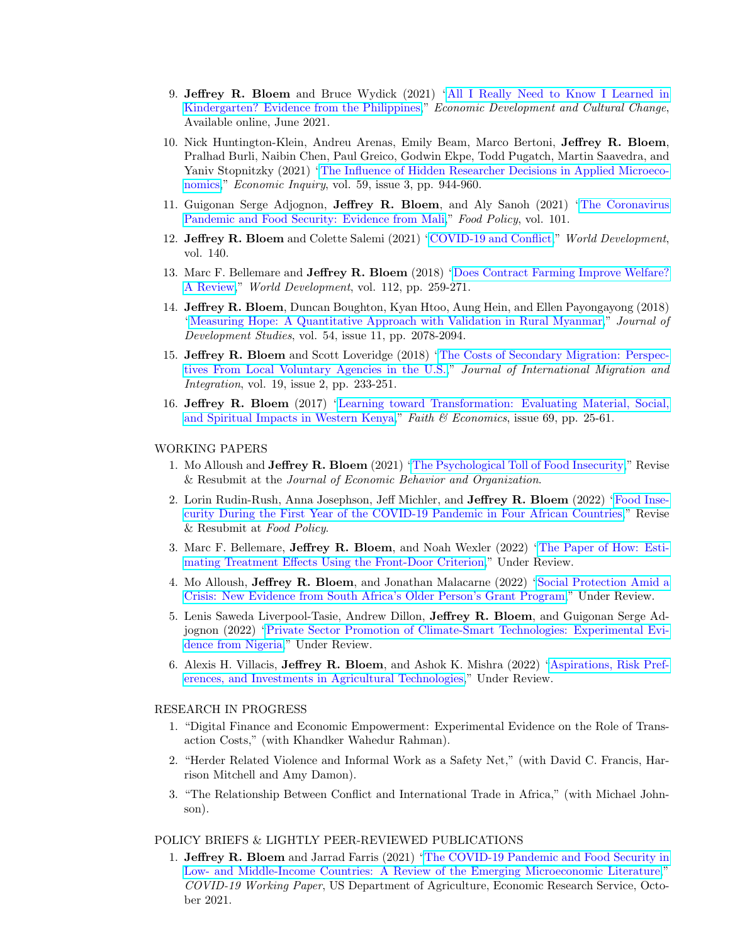- 9. Jeffrey R. Bloem and Bruce Wydick (2021) ["All I Really Need to Know I Learned in](https://www.journals.uchicago.edu/doi/abs/10.1086/715502) [Kindergarten? Evidence from the Philippines,](https://www.journals.uchicago.edu/doi/abs/10.1086/715502)" Economic Development and Cultural Change, Available online, June 2021.
- 10. Nick Huntington-Klein, Andreu Arenas, Emily Beam, Marco Bertoni, Jeffrey R. Bloem, Pralhad Burli, Naibin Chen, Paul Greico, Godwin Ekpe, Todd Pugatch, Martin Saavedra, and Yaniv Stopnitzky (2021) ["The Influence of Hidden Researcher Decisions in Applied Microeco](https://onlinelibrary.wiley.com/doi/full/10.1111/ecin.12992)[nomics,](https://onlinelibrary.wiley.com/doi/full/10.1111/ecin.12992)" *Economic Inquiry*, vol. 59, issue 3, pp. 944-960.
- 11. Guigonan Serge Adjognon, Jeffrey R. Bloem, and Aly Sanoh (2021) ["The Coronavirus](https://www.sciencedirect.com/science/article/abs/pii/S0306919221000282) [Pandemic and Food Security: Evidence from Mali,](https://www.sciencedirect.com/science/article/abs/pii/S0306919221000282)" Food Policy, vol. 101.
- 12. Jeffrey R. Bloem and Colette Salemi (2021) ["COVID-19 and Conflict,](https://www.sciencedirect.com/science/article/pii/S0305750X20304216)" World Development, vol. 140.
- 13. Marc F. Bellemare and Jeffrey R. Bloem (2018) ["Does Contract Farming Improve Welfare?](https://www.sciencedirect.com/science/article/pii/S0305750X18303188) [A Review,](https://www.sciencedirect.com/science/article/pii/S0305750X18303188)" World Development, vol. 112, pp. 259-271.
- 14. Jeffrey R. Bloem, Duncan Boughton, Kyan Htoo, Aung Hein, and Ellen Payongayong (2018) ["Measuring Hope: A Quantitative Approach with Validation in Rural Myanmar,](http://www.tandfonline.com/doi/full/10.1080/00220388.2017.1385764)" Journal of Development Studies, vol. 54, issue 11, pp. 2078-2094.
- 15. Jeffrey R. Bloem and Scott Loveridge (2018) ["The Costs of Secondary Migration: Perspec](https://link.springer.com/article/10.1007/s12134-018-0538-4)[tives From Local Voluntary Agencies in the U.S.,](https://link.springer.com/article/10.1007/s12134-018-0538-4)" Journal of International Migration and Integration, vol. 19, issue 2, pp. 233-251.
- 16. Jeffrey R. Bloem (2017) ["Learning toward Transformation: Evaluating Material, Social,](https://jeffbloem.files.wordpress.com/2012/12/2017-spring-bloem.pdf) [and Spiritual Impacts in Western Kenya,](https://jeffbloem.files.wordpress.com/2012/12/2017-spring-bloem.pdf)" Faith  $\mathcal B$  Economics, issue 69, pp. 25-61.

#### WORKING PAPERS

- 1. Mo Alloush and Jeffrey R. Bloem (2021) ["The Psychological Toll of Food Insecurity,](https://jeffbloem.files.wordpress.com/2021/10/psych_food_insecurity_sept21.pdf)" Revise & Resubmit at the Journal of Economic Behavior and Organization.
- 2. Lorin Rudin-Rush, Anna Josephson, Jeff Michler, and Jeffrey R. Bloem (2022) ["Food Inse](https://jeffbloem.files.wordpress.com/2022/01/covid_food_security_1.14.22.pdf)[curity During the First Year of the COVID-19 Pandemic in Four African Countries,](https://jeffbloem.files.wordpress.com/2022/01/covid_food_security_1.14.22.pdf)" Revise & Resubmit at Food Policy.
- 3. Marc F. Bellemare, Jeffrey R. Bloem, and Noah Wexler (2022) ["The Paper of How: Esti](https://jeffbloem.files.wordpress.com/2022/03/fdc_3.9.22.pdf)[mating Treatment Effects Using the Front-Door Criterion,](https://jeffbloem.files.wordpress.com/2022/03/fdc_3.9.22.pdf)" Under Review.
- 4. Mo Alloush, Jeffrey R. Bloem, and Jonathan Malacarne (2022) ["Social Protection Amid a](https://jeffbloem.files.wordpress.com/2022/02/alloushetal_opg_2022.pdf) [Crisis: New Evidence from South Africa's Older Person's Grant Program,](https://jeffbloem.files.wordpress.com/2022/02/alloushetal_opg_2022.pdf)" Under Review.
- 5. Lenis Saweda Liverpool-Tasie, Andrew Dillon, Jeffrey R. Bloem, and Guigonan Serge Adjognon (2022) ["Private Sector Promotion of Climate-Smart Technologies: Experimental Evi](https://jeffbloem.files.wordpress.com/2022/01/usg_rct_1.18.22.pdf)[dence from Nigeria,](https://jeffbloem.files.wordpress.com/2022/01/usg_rct_1.18.22.pdf)" Under Review.
- 6. Alexis H. Villacis, Jeffrey R. Bloem, and Ashok K. Mishra (2022) ["Aspirations, Risk Pref](https://jeffbloem.files.wordpress.com/2022/04/aspirations_risk_investments.pdf)[erences, and Investments in Agricultural Technologies,](https://jeffbloem.files.wordpress.com/2022/04/aspirations_risk_investments.pdf)" Under Review.

#### RESEARCH IN PROGRESS

- 1. "Digital Finance and Economic Empowerment: Experimental Evidence on the Role of Transaction Costs," (with Khandker Wahedur Rahman).
- 2. "Herder Related Violence and Informal Work as a Safety Net," (with David C. Francis, Harrison Mitchell and Amy Damon).
- 3. "The Relationship Between Conflict and International Trade in Africa," (with Michael Johnson).

## POLICY BRIEFS & LIGHTLY PEER-REVIEWED PUBLICATIONS

1. Jeffrey R. Bloem and Jarrad Farris (2021) ["The COVID-19 Pandemic and Food Security in](https://jeffbloem.files.wordpress.com/2021/10/bloem-and-farris-ers-2021.pdf) [Low- and Middle-Income Countries: A Review of the Emerging Microeconomic Literature,](https://jeffbloem.files.wordpress.com/2021/10/bloem-and-farris-ers-2021.pdf)" COVID-19 Working Paper, US Department of Agriculture, Economic Research Service, October 2021.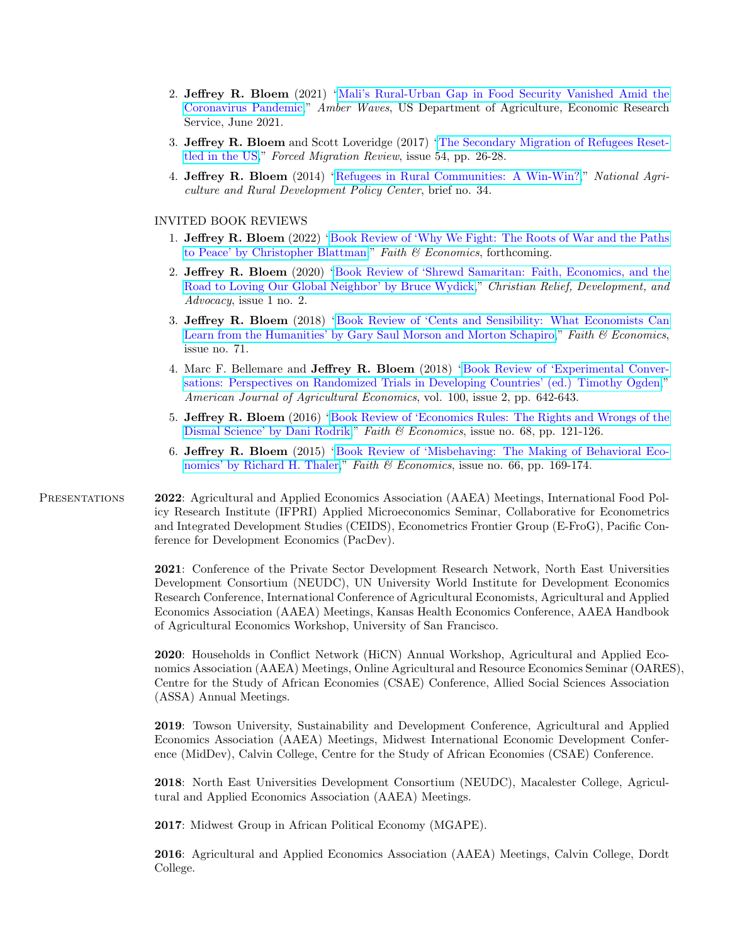- 2. Jeffrey R. Bloem (2021) ["Mali's Rural-Urban Gap in Food Security Vanished Amid the](https://www.ers.usda.gov/amber-waves/2021/june/mali-s-rural-urban-gap-in-food-security-vanished-amid-the-coronavirus-pandemic/) [Coronavirus Pandemic,](https://www.ers.usda.gov/amber-waves/2021/june/mali-s-rural-urban-gap-in-food-security-vanished-amid-the-coronavirus-pandemic/)" Amber Waves, US Department of Agriculture, Economic Research Service, June 2021.
- 3. Jeffrey R. Bloem and Scott Loveridge (2017) ["The Secondary Migration of Refugees Reset](http://www.fmreview.org/sites/fmr/files/FMRdownloads/en/resettlement/bloem-loveridge.pdf)[tled in the US,](http://www.fmreview.org/sites/fmr/files/FMRdownloads/en/resettlement/bloem-loveridge.pdf)" Forced Migration Review, issue 54, pp. 26-28.
- 4. Jeffrey R. Bloem (2014) ["Refugees in Rural Communities: A Win-Win?,](http://www.nardep.info/uploads/Brief34_RefugeesinRuralAmerica.pdf)" National Agriculture and Rural Development Policy Center, brief no. 34.

## INVITED BOOK REVIEWS

- 1. Jeffrey R. Bloem (2022) ["Book Review of 'Why We Fight: The Roots of War and the Paths](https://jeffbloem.files.wordpress.com/2022/02/bloem-review-of-blattman.pdf) [to Peace' by Christopher Blattman,](https://jeffbloem.files.wordpress.com/2022/02/bloem-review-of-blattman.pdf)" Faith & Economics, forthcoming.
- 2. Jeffrey R. Bloem (2020) ["Book Review of 'Shrewd Samaritan: Faith, Economics, and the](https://jeffbloem.files.wordpress.com/2020/03/bloem-crda-2020.pdf) [Road to Loving Our Global Neighbor' by Bruce Wydick,](https://jeffbloem.files.wordpress.com/2020/03/bloem-crda-2020.pdf)" Christian Relief, Development, and  $Advocacy$ , issue 1 no. 2.
- 3. Jeffrey R. Bloem (2018) ["Book Review of 'Cents and Sensibility: What Economists Can](https://jeffbloem.files.wordpress.com/2018/04/review-of-cents-and-sensibility.pdf) [Learn from the Humanities' by Gary Saul Morson and Morton Schapiro,](https://jeffbloem.files.wordpress.com/2018/04/review-of-cents-and-sensibility.pdf)" Faith & Economics, issue no. 71.
- 4. Marc F. Bellemare and Jeffrey R. Bloem (2018) ["Book Review of 'Experimental Conver](https://academic.oup.com/ajae/article/100/2/642/4331628?guestAccessKey=67985a71-1fad-485a-b68d-400fe508591d)[sations: Perspectives on Randomized Trials in Developing Countries' \(ed.\) Timothy Ogden,](https://academic.oup.com/ajae/article/100/2/642/4331628?guestAccessKey=67985a71-1fad-485a-b68d-400fe508591d)" American Journal of Agricultural Economics, vol. 100, issue 2, pp. 642-643.
- 5. Jeffrey R. Bloem (2016) ["Book Review of 'Economics Rules: The Rights and Wrongs of the](https://jeffbloem.files.wordpress.com/2012/12/2016-fall-bloem.pdf) [Dismal Science' by Dani Rodrik,](https://jeffbloem.files.wordpress.com/2012/12/2016-fall-bloem.pdf)" Faith & Economics, issue no. 68, pp. 121-126.
- 6. Jeffrey R. Bloem (2015) ["Book Review of 'Misbehaving: The Making of Behavioral Eco](https://jeffbloem.files.wordpress.com/2012/12/2015-fall-bloem.pdf)[nomics' by Richard H. Thaler,](https://jeffbloem.files.wordpress.com/2012/12/2015-fall-bloem.pdf)" Faith & Economics, issue no. 66, pp. 169-174.

Presentations 2022: Agricultural and Applied Economics Association (AAEA) Meetings, International Food Policy Research Institute (IFPRI) Applied Microeconomics Seminar, Collaborative for Econometrics and Integrated Development Studies (CEIDS), Econometrics Frontier Group (E-FroG), Pacific Conference for Development Economics (PacDev).

> 2021: Conference of the Private Sector Development Research Network, North East Universities Development Consortium (NEUDC), UN University World Institute for Development Economics Research Conference, International Conference of Agricultural Economists, Agricultural and Applied Economics Association (AAEA) Meetings, Kansas Health Economics Conference, AAEA Handbook of Agricultural Economics Workshop, University of San Francisco.

2020: Households in Conflict Network (HiCN) Annual Workshop, Agricultural and Applied Economics Association (AAEA) Meetings, Online Agricultural and Resource Economics Seminar (OARES), Centre for the Study of African Economies (CSAE) Conference, Allied Social Sciences Association (ASSA) Annual Meetings.

2019: Towson University, Sustainability and Development Conference, Agricultural and Applied Economics Association (AAEA) Meetings, Midwest International Economic Development Conference (MidDev), Calvin College, Centre for the Study of African Economies (CSAE) Conference.

2018: North East Universities Development Consortium (NEUDC), Macalester College, Agricultural and Applied Economics Association (AAEA) Meetings.

2017: Midwest Group in African Political Economy (MGAPE).

2016: Agricultural and Applied Economics Association (AAEA) Meetings, Calvin College, Dordt College.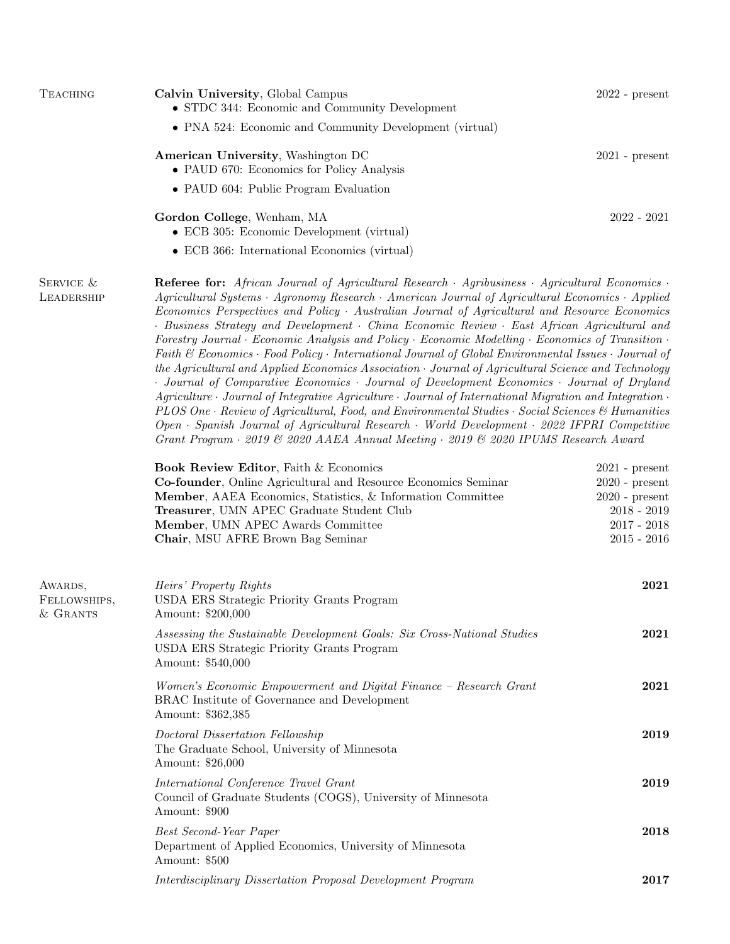| <b>TEACHING</b>                       | Calvin University, Global Campus<br>• STDC 344: Economic and Community Development                                                                                                                                                                                                                                                                                                                                                                                                                                                                                                                                                                                                                                                                                                                                                                                                                                                                                                                                                                                                                                                                                                                                                                    | $2022$ - present                                                                                            |
|---------------------------------------|-------------------------------------------------------------------------------------------------------------------------------------------------------------------------------------------------------------------------------------------------------------------------------------------------------------------------------------------------------------------------------------------------------------------------------------------------------------------------------------------------------------------------------------------------------------------------------------------------------------------------------------------------------------------------------------------------------------------------------------------------------------------------------------------------------------------------------------------------------------------------------------------------------------------------------------------------------------------------------------------------------------------------------------------------------------------------------------------------------------------------------------------------------------------------------------------------------------------------------------------------------|-------------------------------------------------------------------------------------------------------------|
|                                       | • PNA 524: Economic and Community Development (virtual)                                                                                                                                                                                                                                                                                                                                                                                                                                                                                                                                                                                                                                                                                                                                                                                                                                                                                                                                                                                                                                                                                                                                                                                               |                                                                                                             |
|                                       | American University, Washington DC<br>• PAUD 670: Economics for Policy Analysis                                                                                                                                                                                                                                                                                                                                                                                                                                                                                                                                                                                                                                                                                                                                                                                                                                                                                                                                                                                                                                                                                                                                                                       | $2021$ - $\ensuremath{\mathrm{present}}$                                                                    |
|                                       | • PAUD 604: Public Program Evaluation                                                                                                                                                                                                                                                                                                                                                                                                                                                                                                                                                                                                                                                                                                                                                                                                                                                                                                                                                                                                                                                                                                                                                                                                                 |                                                                                                             |
|                                       | Gordon College, Wenham, MA<br>• ECB 305: Economic Development (virtual)                                                                                                                                                                                                                                                                                                                                                                                                                                                                                                                                                                                                                                                                                                                                                                                                                                                                                                                                                                                                                                                                                                                                                                               | $2022 - 2021$                                                                                               |
|                                       | • ECB 366: International Economics (virtual)                                                                                                                                                                                                                                                                                                                                                                                                                                                                                                                                                                                                                                                                                                                                                                                                                                                                                                                                                                                                                                                                                                                                                                                                          |                                                                                                             |
| SERVICE &<br>LEADERSHIP               | Referee for: African Journal of Agricultural Research · Agribusiness · Agricultural Economics ·<br>Agricultural Systems • Agronomy Research • American Journal of Agricultural Economics • Applied<br>Economics Perspectives and Policy Australian Journal of Agricultural and Resource Economics<br>· Business Strategy and Development · China Economic Review · East African Agricultural and<br>Forestry Journal · Economic Analysis and Policy · Economic Modelling · Economics of Transition ·<br>Faith & Economics · Food Policy · International Journal of Global Environmental Issues · Journal of<br>the Agricultural and Applied Economics Association Gournal of Agricultural Science and Technology<br>· Journal of Comparative Economics · Journal of Development Economics · Journal of Dryland<br>$Agriculture \cdot Journal$ of Integrative Agriculture $\cdot$ Journal of International Migration and Integration $\cdot$<br>PLOS One · Review of Agricultural, Food, and Environmental Studies · Social Sciences & Humanities<br>$Open\cdot Spanish\ Journal\ of\ Agricultural\ Research\cdot World\ Development\cdot 2022\ IFPRI\ Computer$<br>Grant Program · 2019 & 2020 AAEA Annual Meeting · 2019 & 2020 IPUMS Research Award |                                                                                                             |
|                                       | Book Review Editor, Faith & Economics<br>Co-founder, Online Agricultural and Resource Economics Seminar<br>Member, AAEA Economics, Statistics, & Information Committee<br>Treasurer, UMN APEC Graduate Student Club<br>Member, UMN APEC Awards Committee<br>Chair, MSU AFRE Brown Bag Seminar                                                                                                                                                                                                                                                                                                                                                                                                                                                                                                                                                                                                                                                                                                                                                                                                                                                                                                                                                         | $2021$ - present<br>$2020$ - present<br>$2020$ - present<br>$2018 - 2019$<br>$2017 - 2018$<br>$2015 - 2016$ |
| AWARDS,<br>FELLOWSHIPS,<br>$&$ GRANTS | Heirs' Property Rights<br>USDA ERS Strategic Priority Grants Program<br>Amount: \$200,000                                                                                                                                                                                                                                                                                                                                                                                                                                                                                                                                                                                                                                                                                                                                                                                                                                                                                                                                                                                                                                                                                                                                                             | 2021                                                                                                        |
|                                       | Assessing the Sustainable Development Goals: Six Cross-National Studies<br>USDA ERS Strategic Priority Grants Program<br>Amount: \$540,000                                                                                                                                                                                                                                                                                                                                                                                                                                                                                                                                                                                                                                                                                                                                                                                                                                                                                                                                                                                                                                                                                                            | 2021                                                                                                        |
|                                       | Women's Economic Empowerment and Digital Finance - Research Grant<br>BRAC Institute of Governance and Development<br>Amount: \$362,385                                                                                                                                                                                                                                                                                                                                                                                                                                                                                                                                                                                                                                                                                                                                                                                                                                                                                                                                                                                                                                                                                                                | 2021                                                                                                        |
|                                       | Doctoral Dissertation Fellowship<br>The Graduate School, University of Minnesota<br>Amount: \$26,000                                                                                                                                                                                                                                                                                                                                                                                                                                                                                                                                                                                                                                                                                                                                                                                                                                                                                                                                                                                                                                                                                                                                                  | 2019                                                                                                        |
|                                       | International Conference Travel Grant<br>Council of Graduate Students (COGS), University of Minnesota<br>Amount: \$900                                                                                                                                                                                                                                                                                                                                                                                                                                                                                                                                                                                                                                                                                                                                                                                                                                                                                                                                                                                                                                                                                                                                | 2019                                                                                                        |
|                                       | Best Second-Year Paper<br>Department of Applied Economics, University of Minnesota<br>Amount: \$500                                                                                                                                                                                                                                                                                                                                                                                                                                                                                                                                                                                                                                                                                                                                                                                                                                                                                                                                                                                                                                                                                                                                                   | 2018                                                                                                        |
|                                       | Interdisciplinary Dissertation Proposal Development Program                                                                                                                                                                                                                                                                                                                                                                                                                                                                                                                                                                                                                                                                                                                                                                                                                                                                                                                                                                                                                                                                                                                                                                                           | 2017                                                                                                        |